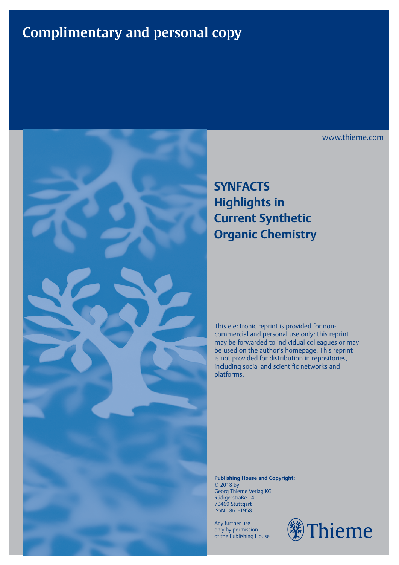# **Complimentary and personal copy**



## **SYNFACTS Highlights in Current Synthetic Organic Chemistry**

This electronic reprint is provided for noncommercial and personal use only: this reprint may be forwarded to individual colleagues or may be used on the author's homepage. This reprint is not provided for distribution in repositories, including social and scientific networks and platforms.

**Publishing House and Copyright:** © 2018 by Georg Thieme Verlag KG Rüdigerstraße 14 70469 Stuttgart ISSN 1861-1958

Any further use only by permission of the Publishing House



www.thieme.com